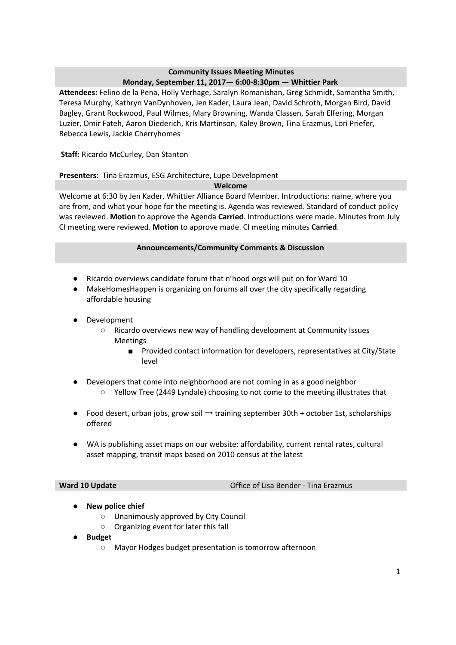## **Community Issues Meeting Minutes Monday, September 11, 2017— 6:00-8:30pm — Whittier Park**

**Attendees:** Felino de la Pena, Holly Verhage, Saralyn Romanishan, Greg Schmidt, Samantha Smith, Teresa Murphy, Kathryn VanDynhoven, Jen Kader, Laura Jean, David Schroth, Morgan Bird, David Bagley, Grant Rockwood, Paul Wilmes, Mary Browning, Wanda Classen, Sarah Elfering, Morgan Luzier, Omir Fateh, Aaron Diederich, Kris Martinson, Kaley Brown, Tina Erazmus, Lori Priefer, Rebecca Lewis, Jackie Cherryhomes

**Staff:** Ricardo McCurley, Dan Stanton

## **Presenters:** Tina Erazmus, ESG Architecture, Lupe Development

## **Welcome**

Welcome at 6:30 by Jen Kader, Whittier Alliance Board Member. Introductions: name, where you are from, and what your hope for the meeting is. Agenda was reviewed. Standard of conduct policy was reviewed. **Motion** to approve the Agenda **Carried**. Introductions were made. Minutes from July CI meeting were reviewed. **Motion** to approve made. CI meeting minutes **Carried**.

## **Announcements/Community Comments & Discussion**

- Ricardo overviews candidate forum that n'hood orgs will put on for Ward 10
- MakeHomesHappen is organizing on forums all over the city specifically regarding affordable housing
- Development
	- Ricardo overviews new way of handling development at Community Issues Meetings
		- Provided contact information for developers, representatives at City/State level
- Developers that come into neighborhood are not coming in as a good neighbor
	- Yellow Tree (2449 Lyndale) choosing to not come to the meeting illustrates that
- Food desert, urban jobs, grow soil → training september 30th + october 1st, scholarships offered
- WA is publishing asset maps on our website: affordability, current rental rates, cultural asset mapping, transit maps based on 2010 census at the latest

**Ward 10 Update Construction Construction Construction Construction Construction Construction Construction Construction Construction Construction Construction Construction Construction Construction Construction Construct** 

- **● New police chief**
	- Unanimously approved by City Council
	- Organizing event for later this fall
- **● Budget**
	- Mayor Hodges budget presentation is tomorrow afternoon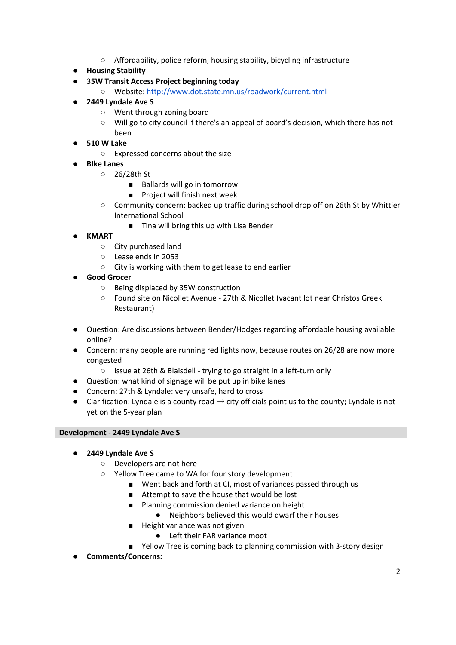- Affordability, police reform, housing stability, bicycling infrastructure
- **● Housing Stability**
- 3**5W Transit Access Project beginning today**
	- Website: <http://www.dot.state.mn.us/roadwork/current.html>
- **● 2449 Lyndale Ave S**
	- Went through zoning board
	- Will go to city council if there's an appeal of board's decision, which there has not been
- **● 510 W Lake**
	- Expressed concerns about the size
- **● BIke Lanes**
	- 26/28th St
		- Ballards will go in tomorrow
		- Project will finish next week
	- Community concern: backed up traffic during school drop off on 26th St by Whittier International School
		- Tina will bring this up with Lisa Bender

# **● KMART**

- City purchased land
- Lease ends in 2053
- City is working with them to get lease to end earlier
- **● Good Grocer**
	- Being displaced by 35W construction
	- Found site on Nicollet Avenue 27th & Nicollet (vacant lot near Christos Greek Restaurant)
- Question: Are discussions between Bender/Hodges regarding affordable housing available online?
- Concern: many people are running red lights now, because routes on 26/28 are now more congested
	- Issue at 26th & Blaisdell trying to go straight in a left-turn only
- Question: what kind of signage will be put up in bike lanes
- Concern: 27th & Lyndale: very unsafe, hard to cross
- $\bullet$  Clarification: Lyndale is a county road  $\rightarrow$  city officials point us to the county; Lyndale is not yet on the 5-year plan

## **Development - 2449 Lyndale Ave S**

- **● 2449 Lyndale Ave S**
	- Developers are not here
	- Yellow Tree came to WA for four story development
		- Went back and forth at CI, most of variances passed through us
		- Attempt to save the house that would be lost
		- Planning commission denied variance on height
			- Neighbors believed this would dwarf their houses
		- Height variance was not given
			- Left their FAR variance moot
		- Yellow Tree is coming back to planning commission with 3-story design
- **● Comments/Concerns:**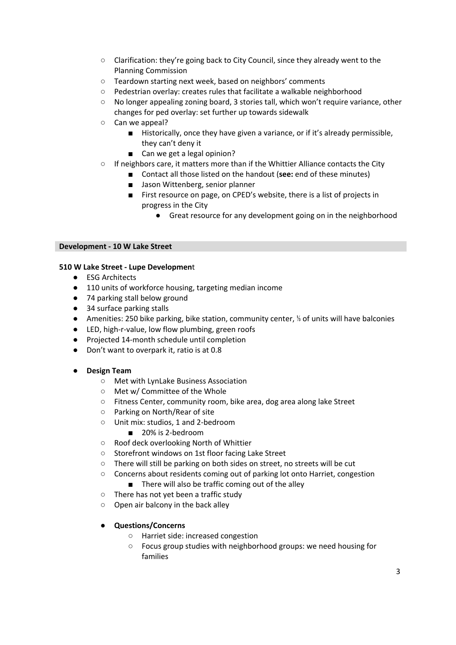- Clarification: they're going back to City Council, since they already went to the Planning Commission
- Teardown starting next week, based on neighbors' comments
- Pedestrian overlay: creates rules that facilitate a walkable neighborhood
- No longer appealing zoning board, 3 stories tall, which won't require variance, other changes for ped overlay: set further up towards sidewalk
- Can we appeal?
	- Historically, once they have given a variance, or if it's already permissible, they can't deny it
	- Can we get a legal opinion?
- If neighbors care, it matters more than if the Whittier Alliance contacts the City
	- Contact all those listed on the handout (see: end of these minutes)
		- Jason Wittenberg, senior planner
	- First resource on page, on CPED's website, there is a list of projects in progress in the City
		- Great resource for any development going on in the neighborhood

#### **Development - 10 W Lake Street**

## **510 W Lake Street - Lupe Developmen**t

- ESG Architects
- 110 units of workforce housing, targeting median income
- 74 parking stall below ground
- 34 surface parking stalls
- Amenities: 250 bike parking, bike station, community center, <sup>1/</sup><sub>i</sub> of units will have balconies
- LED, high-r-value, low flow plumbing, green roofs
- Projected 14-month schedule until completion
- Don't want to overpark it, ratio is at 0.8

## **● Design Team**

- Met with LynLake Business Association
- Met w/ Committee of the Whole
- Fitness Center, community room, bike area, dog area along lake Street
- Parking on North/Rear of site
- Unit mix: studios, 1 and 2-bedroom
	- 20% is 2-bedroom
- Roof deck overlooking North of Whittier
- Storefront windows on 1st floor facing Lake Street
- There will still be parking on both sides on street, no streets will be cut
- Concerns about residents coming out of parking lot onto Harriet, congestion ■ There will also be traffic coming out of the alley
- There has not yet been a traffic study
- Open air balcony in the back alley
- **● Questions/Concerns**
	- Harriet side: increased congestion
	- Focus group studies with neighborhood groups: we need housing for families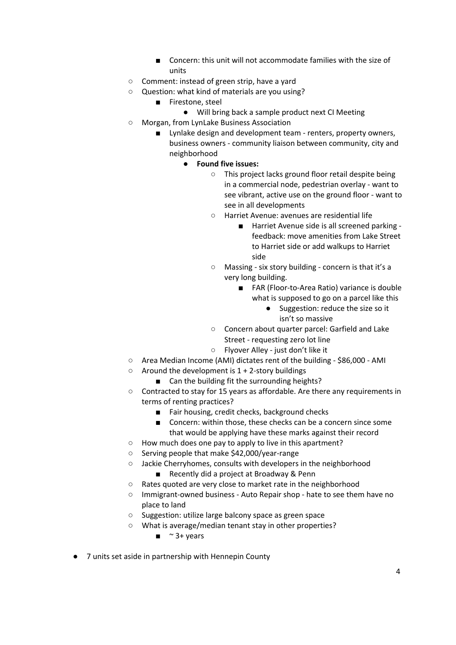- Concern: this unit will not accommodate families with the size of units
- Comment: instead of green strip, have a yard
- Question: what kind of materials are you using?
	- Firestone, steel
		- Will bring back a sample product next CI Meeting
- Morgan, from LynLake Business Association
	- Lynlake design and development team renters, property owners, business owners - community liaison between community, city and neighborhood
		- **● Found five issues:**
			- This project lacks ground floor retail despite being in a commercial node, pedestrian overlay - want to see vibrant, active use on the ground floor - want to see in all developments
			- Harriet Avenue: avenues are residential life
				- Harriet Avenue side is all screened parking feedback: move amenities from Lake Street to Harriet side or add walkups to Harriet side
			- Massing six story building concern is that it's a very long building.
				- FAR (Floor-to-Area Ratio) variance is double what is supposed to go on a parcel like this
					- Suggestion: reduce the size so it isn't so massive
			- Concern about quarter parcel: Garfield and Lake Street - requesting zero lot line
			- Flyover Alley just don't like it
- Area Median Income (AMI) dictates rent of the building \$86,000 AMI
- $\circ$  Around the development is 1 + 2-story buildings
	- Can the building fit the surrounding heights?
- Contracted to stay for 15 years as affordable. Are there any requirements in terms of renting practices?
	- Fair housing, credit checks, background checks
	- Concern: within those, these checks can be a concern since some that would be applying have these marks against their record
- How much does one pay to apply to live in this apartment?
- Serving people that make \$42,000/year-range
- Jackie Cherryhomes, consults with developers in the neighborhood
	- Recently did a project at Broadway & Penn
- Rates quoted are very close to market rate in the neighborhood
- Immigrant-owned business Auto Repair shop hate to see them have no place to land
- Suggestion: utilize large balcony space as green space
- What is average/median tenant stay in other properties?
	- $\blacksquare$  ~ 3+ years
- 7 units set aside in partnership with Hennepin County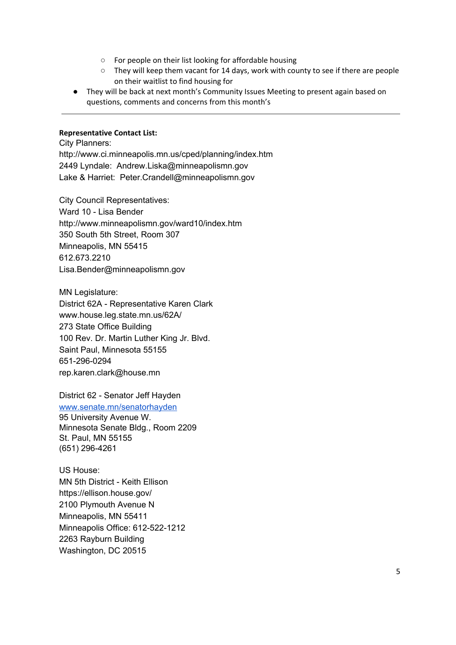- For people on their list looking for affordable housing
- They will keep them vacant for 14 days, work with county to see if there are people on their waitlist to find housing for
- They will be back at next month's Community Issues Meeting to present again based on questions, comments and concerns from this month's

## **Representative Contact List:**

City Planners: http://www.ci.minneapolis.mn.us/cped/planning/index.htm 2449 Lyndale: Andrew.Liska@minneapolismn.gov Lake & Harriet: Peter.Crandell@minneapolismn.gov

City Council Representatives: Ward 10 - Lisa Bender http://www.minneapolismn.gov/ward10/index.htm 350 South 5th Street, Room 307 Minneapolis, MN 55415 612.673.2210 Lisa.Bender@minneapolismn.gov

MN Legislature: District 62A - Representative Karen Clark www.house.leg.state.mn.us/62A/ 273 State Office Building 100 Rev. Dr. Martin Luther King Jr. Blvd. Saint Paul, Minnesota 55155 651-296-0294 rep.karen.clark@house.mn

District 62 - Senator Jeff Hayden [www.senate.mn/senatorhayden](http://www.senate.mn/senatorhayden) 95 University Avenue W. Minnesota Senate Bldg., Room 2209 St. Paul, MN 55155 (651) 296-4261

US House: MN 5th District - Keith Ellison https://ellison.house.gov/ 2100 Plymouth Avenue N Minneapolis, MN 55411 Minneapolis Office: 612-522-1212 2263 Rayburn Building Washington, DC 20515